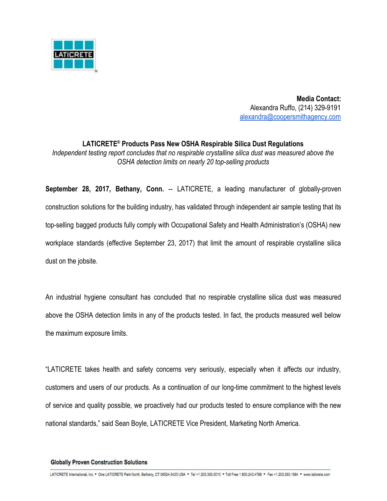

 **Media Contact:** Alexandra Ruffo, (214) 329-9191 [alexandra@coopersmithagency.com](mailto:alexandra@coopersmithagency.com)

**LATICRETE ® Products Pass New OSHA Respirable Silica Dust Regulations** *Independent testing report concludes that no respirable crystalline silica dust was measured above the OSHA detection limits on nearly 20 top-selling products*

**September 28, 2017, Bethany, Conn.** -- LATICRETE, a leading manufacturer of globally-proven construction solutions for the building industry, has validated through independent air sample testing that its top-selling bagged products fully comply with Occupational Safety and Health Administration's (OSHA) new workplace standards (effective September 23, 2017) that limit the amount of respirable crystalline silica dust on the jobsite.

An industrial hygiene consultant has concluded that no respirable crystalline silica dust was measured above the OSHA detection limits in any of the products tested. In fact, the products measured well below the maximum exposure limits.

"LATICRETE takes health and safety concerns very seriously, especially when it affects our industry, customers and users of our products. As a continuation of our long-time commitment to the highest levels of service and quality possible, we proactively had our products tested to ensure compliance with the new national standards," said Sean Boyle, LATICRETE Vice President, Marketing North America.

## **Globally Proven Construction Solutions**